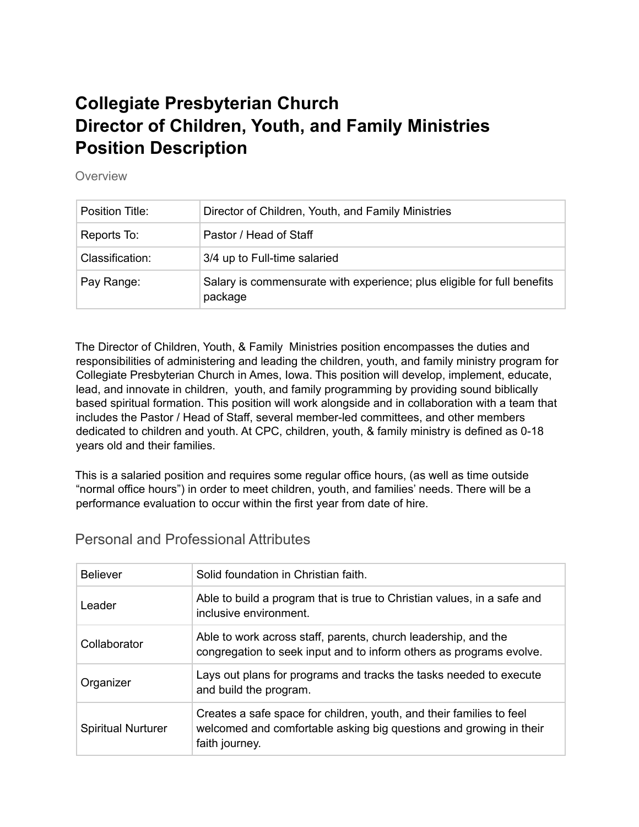# **Collegiate Presbyterian Church Director of Children, Youth, and Family Ministries Position Description**

Overview

| Position Title: | Director of Children, Youth, and Family Ministries                                 |
|-----------------|------------------------------------------------------------------------------------|
| Reports To:     | Pastor / Head of Staff                                                             |
| Classification: | 3/4 up to Full-time salaried                                                       |
| Pay Range:      | Salary is commensurate with experience; plus eligible for full benefits<br>package |

The Director of Children, Youth, & Family Ministries position encompasses the duties and responsibilities of administering and leading the children, youth, and family ministry program for Collegiate Presbyterian Church in Ames, Iowa. This position will develop, implement, educate, lead, and innovate in children, youth, and family programming by providing sound biblically based spiritual formation. This position will work alongside and in collaboration with a team that includes the Pastor / Head of Staff, several member-led committees, and other members dedicated to children and youth. At CPC, children, youth, & family ministry is defined as 0-18 years old and their families.

This is a salaried position and requires some regular office hours, (as well as time outside "normal office hours") in order to meet children, youth, and families' needs. There will be a performance evaluation to occur within the first year from date of hire.

| <b>Believer</b>           | Solid foundation in Christian faith.                                                                                                                         |
|---------------------------|--------------------------------------------------------------------------------------------------------------------------------------------------------------|
| Leader                    | Able to build a program that is true to Christian values, in a safe and<br>inclusive environment.                                                            |
| Collaborator              | Able to work across staff, parents, church leadership, and the<br>congregation to seek input and to inform others as programs evolve.                        |
| Organizer                 | Lays out plans for programs and tracks the tasks needed to execute<br>and build the program.                                                                 |
| <b>Spiritual Nurturer</b> | Creates a safe space for children, youth, and their families to feel<br>welcomed and comfortable asking big questions and growing in their<br>faith journey. |

Personal and Professional Attributes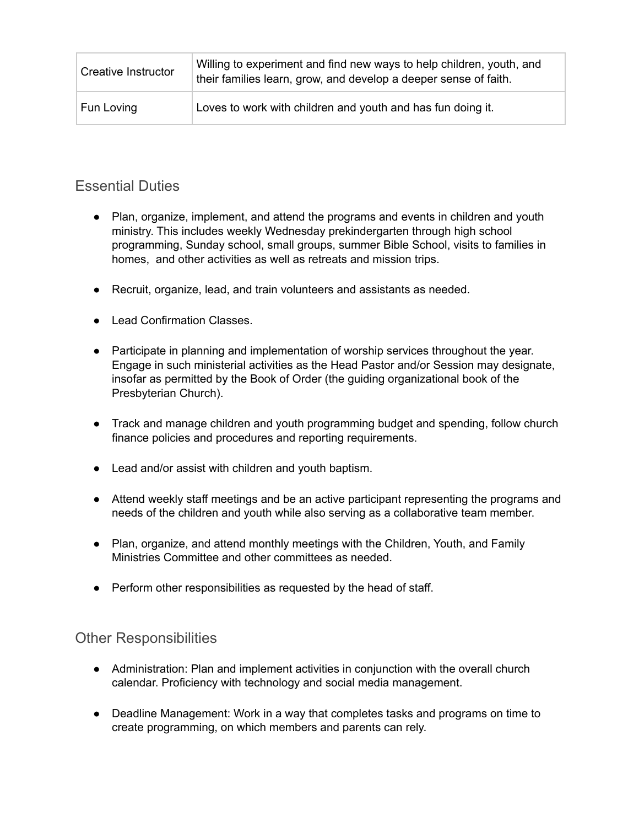| Creative Instructor | Willing to experiment and find new ways to help children, youth, and<br>their families learn, grow, and develop a deeper sense of faith. |
|---------------------|------------------------------------------------------------------------------------------------------------------------------------------|
| Fun Loving          | Loves to work with children and youth and has fun doing it.                                                                              |

### Essential Duties

- Plan, organize, implement, and attend the programs and events in children and youth ministry. This includes weekly Wednesday prekindergarten through high school programming, Sunday school, small groups, summer Bible School, visits to families in homes, and other activities as well as retreats and mission trips.
- Recruit, organize, lead, and train volunteers and assistants as needed.
- Lead Confirmation Classes.
- Participate in planning and implementation of worship services throughout the year. Engage in such ministerial activities as the Head Pastor and/or Session may designate, insofar as permitted by the Book of Order (the guiding organizational book of the Presbyterian Church).
- Track and manage children and youth programming budget and spending, follow church finance policies and procedures and reporting requirements.
- Lead and/or assist with children and youth baptism.
- Attend weekly staff meetings and be an active participant representing the programs and needs of the children and youth while also serving as a collaborative team member.
- Plan, organize, and attend monthly meetings with the Children, Youth, and Family Ministries Committee and other committees as needed.
- Perform other responsibilities as requested by the head of staff.

#### Other Responsibilities

- Administration: Plan and implement activities in conjunction with the overall church calendar. Proficiency with technology and social media management.
- Deadline Management: Work in a way that completes tasks and programs on time to create programming, on which members and parents can rely.